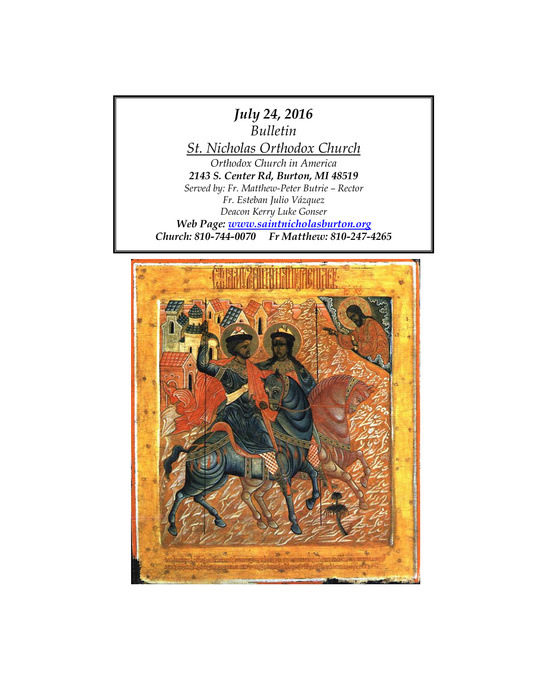

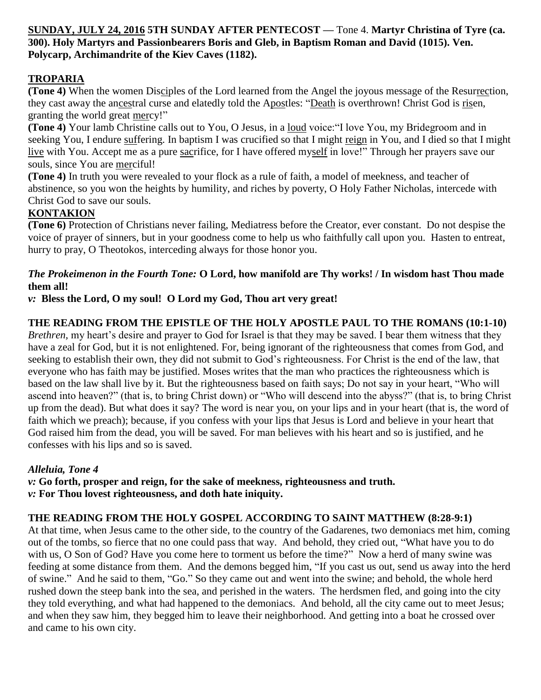## **SUNDAY, JULY 24, 2016 5TH SUNDAY AFTER PENTECOST —** Tone 4. **Martyr Christina of Tyre (ca. 300). Holy Martyrs and Passionbearers Boris and Gleb, in Baptism Roman and David (1015). Ven. Polycarp, Archimandrite of the Kiev Caves (1182).**

# **TROPARIA**

**(Tone 4)** When the women Disciples of the Lord learned from the Angel the joyous message of the Resurrection, they cast away the ancestral curse and elatedly told the Apostles: "Death is overthrown! Christ God is risen, granting the world great mercy!"

**(Tone 4)** Your lamb Christine calls out to You, O Jesus, in a loud voice:"I love You, my Bridegroom and in seeking You, I endure suffering. In baptism I was crucified so that I might reign in You, and I died so that I might live with You. Accept me as a pure sacrifice, for I have offered myself in love!" Through her prayers save our souls, since You are merciful!

**(Tone 4)** In truth you were revealed to your flock as a rule of faith, a model of meekness, and teacher of abstinence, so you won the heights by humility, and riches by poverty, O Holy Father Nicholas, intercede with Christ God to save our souls.

## **KONTAKION**

**(Tone 6)** Protection of Christians never failing, Mediatress before the Creator, ever constant. Do not despise the voice of prayer of sinners, but in your goodness come to help us who faithfully call upon you. Hasten to entreat, hurry to pray, O Theotokos, interceding always for those honor you.

## *The Prokeimenon in the Fourth Tone:* **O Lord, how manifold are Thy works! / In wisdom hast Thou made them all!**

*v:* **Bless the Lord, O my soul! O Lord my God, Thou art very great!**

## **THE READING FROM THE EPISTLE OF THE HOLY APOSTLE PAUL TO THE ROMANS (10:1-10)**

*Brethren*, my heart's desire and prayer to God for Israel is that they may be saved. I bear them witness that they have a zeal for God, but it is not enlightened. For, being ignorant of the righteousness that comes from God, and seeking to establish their own, they did not submit to God's righteousness. For Christ is the end of the law, that everyone who has faith may be justified. Moses writes that the man who practices the righteousness which is based on the law shall live by it. But the righteousness based on faith says; Do not say in your heart, "Who will ascend into heaven?" (that is, to bring Christ down) or "Who will descend into the abyss?" (that is, to bring Christ up from the dead). But what does it say? The word is near you, on your lips and in your heart (that is, the word of faith which we preach); because, if you confess with your lips that Jesus is Lord and believe in your heart that God raised him from the dead, you will be saved. For man believes with his heart and so is justified, and he confesses with his lips and so is saved.

#### *Alleluia, Tone 4*

*v:* **Go forth, prosper and reign, for the sake of meekness, righteousness and truth.** *v:* **For Thou lovest righteousness, and doth hate iniquity.**

#### **THE READING FROM THE HOLY GOSPEL ACCORDING TO SAINT MATTHEW (8:28-9:1)**

At that time, when Jesus came to the other side, to the country of the Gadarenes, two demoniacs met him, coming out of the tombs, so fierce that no one could pass that way. And behold, they cried out, "What have you to do with us, O Son of God? Have you come here to torment us before the time?" Now a herd of many swine was feeding at some distance from them. And the demons begged him, "If you cast us out, send us away into the herd of swine." And he said to them, "Go." So they came out and went into the swine; and behold, the whole herd rushed down the steep bank into the sea, and perished in the waters. The herdsmen fled, and going into the city they told everything, and what had happened to the demoniacs. And behold, all the city came out to meet Jesus; and when they saw him, they begged him to leave their neighborhood. And getting into a boat he crossed over and came to his own city.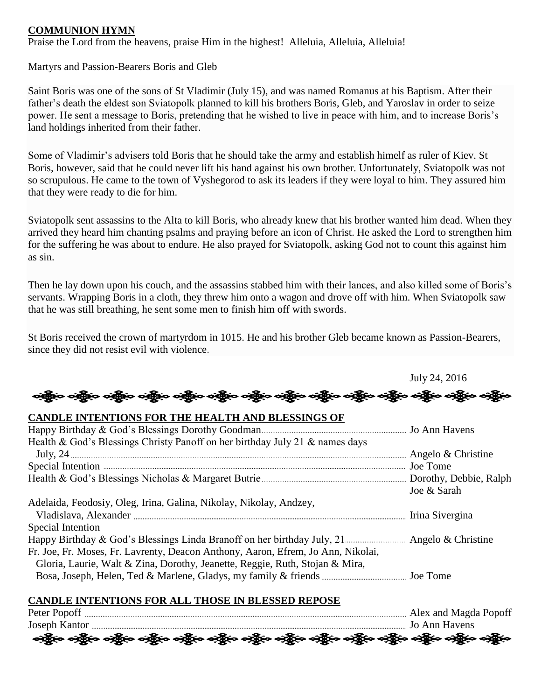#### **COMMUNION HYMN**

Praise the Lord from the heavens, praise Him in the highest! Alleluia, Alleluia, Alleluia!

Martyrs and Passion-Bearers Boris and Gleb

Saint Boris was one of the sons of St Vladimir (July 15), and was named Romanus at his Baptism. After their father's death the eldest son Sviatopolk planned to kill his brothers Boris, Gleb, and Yaroslav in order to seize power. He sent a message to Boris, pretending that he wished to live in peace with him, and to increase Boris's land holdings inherited from their father.

Some of Vladimir's advisers told Boris that he should take the army and establish himelf as ruler of Kiev. St Boris, however, said that he could never lift his hand against his own brother. Unfortunately, Sviatopolk was not so scrupulous. He came to the town of Vyshegorod to ask its leaders if they were loyal to him. They assured him that they were ready to die for him.

Sviatopolk sent assassins to the Alta to kill Boris, who already knew that his brother wanted him dead. When they arrived they heard him chanting psalms and praying before an icon of Christ. He asked the Lord to strengthen him for the suffering he was about to endure. He also prayed for Sviatopolk, asking God not to count this against him as sin.

Then he lay down upon his couch, and the assassins stabbed him with their lances, and also killed some of Boris's servants. Wrapping Boris in a cloth, they threw him onto a wagon and drove off with him. When Sviatopolk saw that he was still breathing, he sent some men to finish him off with swords.

St Boris received the crown of martyrdom in 1015. He and his brother Gleb became known as Passion-Bearers, since they did not resist evil with violence.

July 24, 2016 ခရွို့လ ခရွို့လ ခရွို့လ ခရွို့လ ခရွို့လ ခရွို့လ ခရွို့လ ခရွို့လ ခရွို့လ ခရွို့လ ခရွို့လ ခရွို့လ ခရွို့လ ခရွို့လ **CANDLE INTENTIONS FOR THE HEALTH AND BLESSINGS OF**  Happy Birthday & God's Blessings Dorothy Goodman Jo Ann Havens Health & God's Blessings Christy Panoff on her birthday July 21 & names days July, 24  $\ldots$  Angelo & Christine Special Intention Joe Tome Health & God's Blessings Nicholas & Margaret Butrie Dorothy, Debbie, Ralph Joe & Sarah Adelaida, Feodosiy, Oleg, Irina, Galina, Nikolay, Nikolay, Andzey, Vladislava, Alexander Irina Sivergina Special Intention Happy Birthday & God's Blessings Linda Branoff on her birthday July, 21 Angelo & Christine Fr. Joe, Fr. Moses, Fr. Lavrenty, Deacon Anthony, Aaron, Efrem, Jo Ann, Nikolai, Gloria, Laurie, Walt & Zina, Dorothy, Jeanette, Reggie, Ruth, Stojan & Mira, Bosa, Joseph, Helen, Ted & Marlene, Gladys, my family & friends Joe Tome

#### **CANDLE INTENTIONS FOR ALL THOSE IN BLESSED REPOSE**

| Peter Popoff                                                                                                   | Alex and Magda Popoff |
|----------------------------------------------------------------------------------------------------------------|-----------------------|
| Joseph Kantor                                                                                                  | Jo Ann Havens         |
| ခရွို့လ ခရွို့လ ခရွို့လ ခရွို့လ ခရွို့လ ခရွို့လ ခရွို့လ ခရွို့လ ခရွို့လ ခရွို့လ ခရွို့လ ခရွို့လ ခရွို့လ ခရွိုင |                       |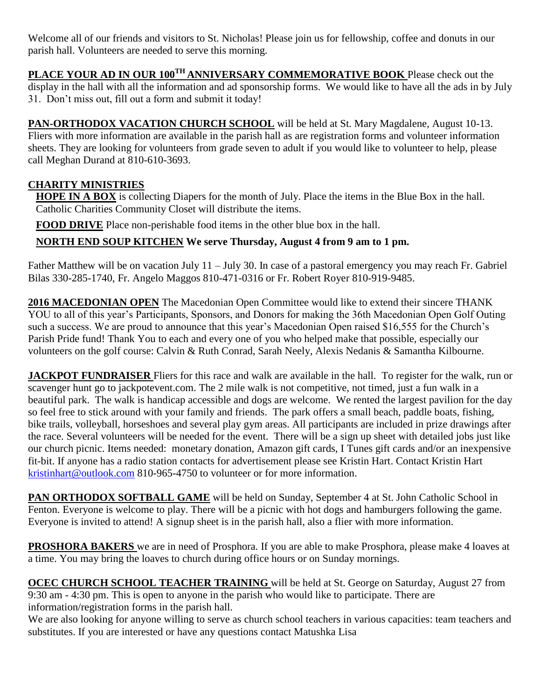Welcome all of our friends and visitors to St. Nicholas! Please join us for fellowship, coffee and donuts in our parish hall. Volunteers are needed to serve this morning.

**PLACE YOUR AD IN OUR 100TH ANNIVERSARY COMMEMORATIVE BOOK** Please check out the display in the hall with all the information and ad sponsorship forms. We would like to have all the ads in by July 31. Don't miss out, fill out a form and submit it today!

**PAN-ORTHODOX VACATION CHURCH SCHOOL** will be held at St. Mary Magdalene, August 10-13. Fliers with more information are available in the parish hall as are registration forms and volunteer information sheets. They are looking for volunteers from grade seven to adult if you would like to volunteer to help, please call Meghan Durand at 810-610-3693.

# **CHARITY MINISTRIES**

**HOPE IN A BOX** is collecting Diapers for the month of July. Place the items in the Blue Box in the hall. Catholic Charities Community Closet will distribute the items.

**FOOD DRIVE** Place non-perishable food items in the other blue box in the hall.

**NORTH END SOUP KITCHEN We serve Thursday, August 4 from 9 am to 1 pm.**

Father Matthew will be on vacation July 11 – July 30. In case of a pastoral emergency you may reach Fr. Gabriel Bilas 330-285-1740, Fr. Angelo Maggos 810-471-0316 or Fr. Robert Royer 810-919-9485.

**2016 MACEDONIAN OPEN** The Macedonian Open Committee would like to extend their sincere THANK YOU to all of this year's Participants, Sponsors, and Donors for making the 36th Macedonian Open Golf Outing such a success. We are proud to announce that this year's Macedonian Open raised \$16,555 for the Church's Parish Pride fund! Thank You to each and every one of you who helped make that possible, especially our volunteers on the golf course: Calvin & Ruth Conrad, Sarah Neely, Alexis Nedanis & Samantha Kilbourne.

**JACKPOT FUNDRAISER** Fliers for this race and walk are available in the hall. To register for the walk, run or scavenger hunt go to jackpotevent.com. The 2 mile walk is not competitive, not timed, just a fun walk in a beautiful park. The walk is handicap accessible and dogs are welcome. We rented the largest pavilion for the day so feel free to stick around with your family and friends. The park offers a small beach, paddle boats, fishing, bike trails, volleyball, horseshoes and several play gym areas. All participants are included in prize drawings after the race. Several volunteers will be needed for the event. There will be a sign up sheet with detailed jobs just like our church picnic. Items needed: monetary donation, Amazon gift cards, I Tunes gift cards and/or an inexpensive fit-bit. If anyone has a radio station contacts for advertisement please see Kristin Hart. Contact Kristin Hart [kristinhart@outlook.com](mailto:kristinhart@outlook.com) 810-965-4750 to volunteer or for more information.

**PAN ORTHODOX SOFTBALL GAME** will be held on Sunday, September 4 at St. John Catholic School in Fenton. Everyone is welcome to play. There will be a picnic with hot dogs and hamburgers following the game. Everyone is invited to attend! A signup sheet is in the parish hall, also a flier with more information.

**PROSHORA BAKERS** we are in need of Prosphora. If you are able to make Prosphora, please make 4 loaves at a time. You may bring the loaves to church during office hours or on Sunday mornings.

**OCEC CHURCH SCHOOL TEACHER TRAINING** will be held at St. George on Saturday, August 27 from 9:30 am - 4:30 pm. This is open to anyone in the parish who would like to participate. There are information/registration forms in the parish hall.

We are also looking for anyone willing to serve as church school teachers in various capacities: team teachers and substitutes. If you are interested or have any questions contact Matushka Lisa